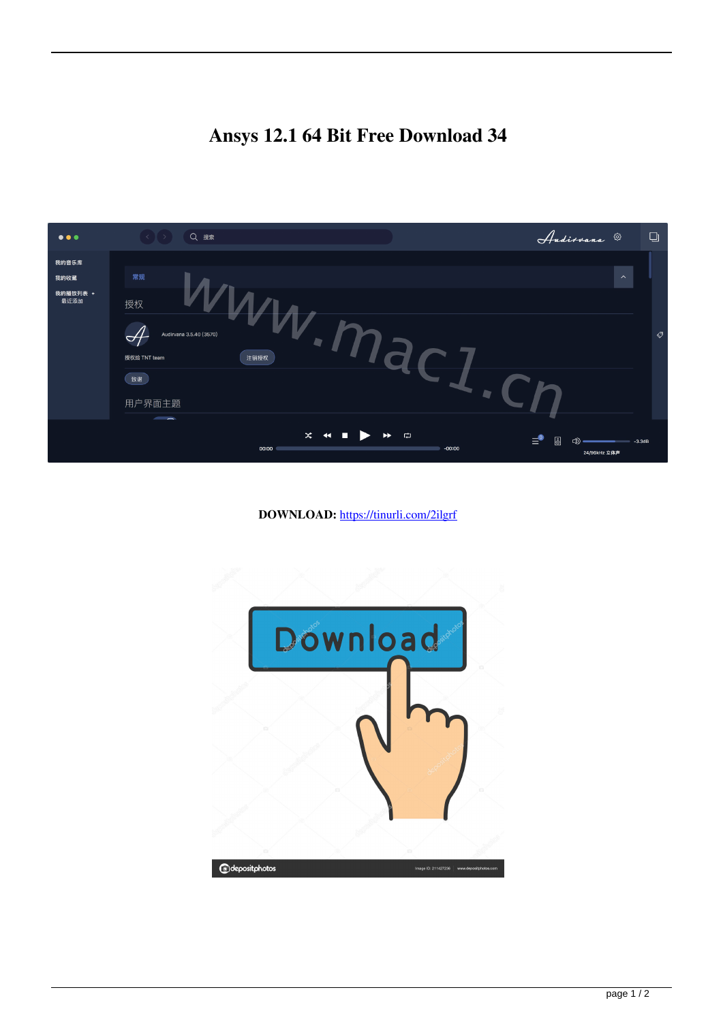## **Ansys 12.1 64 Bit Free Download 34**

| $\bullet\bullet\bullet$ | Q 搜索<br>$\langle \ \ \ \ \ \ \rangle$                                                                                                                                                                                                                                                                                                                                    | Andirvana ®<br>$\Box$                                               |
|-------------------------|--------------------------------------------------------------------------------------------------------------------------------------------------------------------------------------------------------------------------------------------------------------------------------------------------------------------------------------------------------------------------|---------------------------------------------------------------------|
| 我的音乐库                   |                                                                                                                                                                                                                                                                                                                                                                          |                                                                     |
| 我的收藏                    | 常规                                                                                                                                                                                                                                                                                                                                                                       | $\boldsymbol{\wedge}$                                               |
| 我的播放列表 +<br>最近添加        | 授权<br>Audirvana 3.5.40 (3570)<br>$\preceq_{\mathcal{L}}$<br>授权给 TNT team<br>注销授权                                                                                                                                                                                                                                                                                         |                                                                     |
|                         |                                                                                                                                                                                                                                                                                                                                                                          |                                                                     |
|                         | 致谢                                                                                                                                                                                                                                                                                                                                                                       |                                                                     |
|                         | 用户界面主题                                                                                                                                                                                                                                                                                                                                                                   |                                                                     |
|                         | $\overline{\phantom{a}}$<br>$\begin{picture}(160,170) \put(0,0){\line(1,0){10}} \put(150,0){\line(1,0){10}} \put(150,0){\line(1,0){10}} \put(150,0){\line(1,0){10}} \put(150,0){\line(1,0){10}} \put(150,0){\line(1,0){10}} \put(150,0){\line(1,0){10}} \put(150,0){\line(1,0){10}} \put(150,0){\line(1,0){10}} \put(150,0){\line(1,0){10}} \put(150,0){\line(1,0){10}}$ |                                                                     |
|                         | $-00:00$<br>00:00                                                                                                                                                                                                                                                                                                                                                        | $\equiv^{\circ}$<br>8<br>$\circledcirc$<br>$-3.3dB$<br>24/96kHz 立体声 |

**DOWNLOAD:** <https://tinurli.com/2ilgrf>